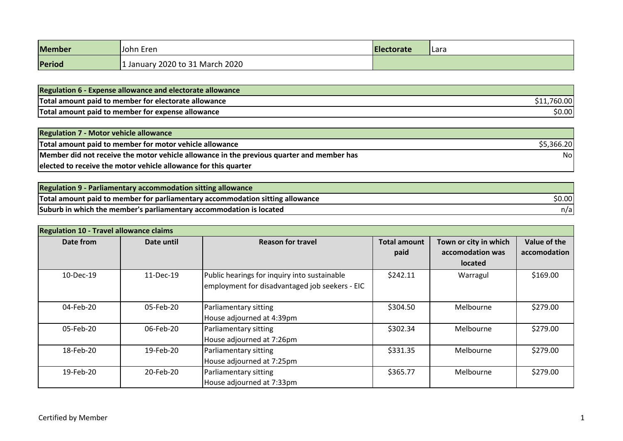| Member | IJohn Eren                    | <b>Electorate</b> | l Lara |
|--------|-------------------------------|-------------------|--------|
| Period | January 2020 to 31 March 2020 |                   |        |

| Regulation 6 - Expense allowance and electorate allowance |                 |
|-----------------------------------------------------------|-----------------|
| Total amount paid to member for electorate allowance      | $\sim$<br>60.00 |
| Total amount paid to member for expense allowance         | \$0.00          |

| <b>Regulation 7 - Motor vehicle allowance</b>                                             |            |
|-------------------------------------------------------------------------------------------|------------|
| Total amount paid to member for motor vehicle allowance                                   | \$5,366.20 |
| Member did not receive the motor vehicle allowance in the previous quarter and member has | Nol        |
| elected to receive the motor vehicle allowance for this quarter                           |            |

| Regulation 9 - Parliamentary accommodation sitting allowance                  |        |
|-------------------------------------------------------------------------------|--------|
| Total amount paid to member for parliamentary accommodation sitting allowance | \$0.00 |
| Suburb in which the member's parliamentary accommodation is located           | n/al   |

| <b>Regulation 10 - Travel allowance claims</b> |                                                                             |                                                                                                |                             |                                                             |                              |
|------------------------------------------------|-----------------------------------------------------------------------------|------------------------------------------------------------------------------------------------|-----------------------------|-------------------------------------------------------------|------------------------------|
| Date from                                      | Date until                                                                  | <b>Reason for travel</b>                                                                       | <b>Total amount</b><br>paid | Town or city in which<br>accomodation was<br><b>located</b> | Value of the<br>accomodation |
| 10-Dec-19                                      | 11-Dec-19                                                                   | Public hearings for inquiry into sustainable<br>employment for disadvantaged job seekers - EIC | \$242.11                    | Warragul                                                    | \$169.00                     |
| 04-Feb-20                                      | 05-Feb-20                                                                   | Parliamentary sitting<br>House adjourned at 4:39pm                                             | \$304.50<br>Melbourne       |                                                             | \$279.00                     |
| 05-Feb-20                                      | 06-Feb-20<br>Parliamentary sitting<br>House adjourned at 7:26pm             |                                                                                                | \$302.34                    | Melbourne                                                   | \$279.00                     |
| 18-Feb-20                                      | \$331.35<br>19-Feb-20<br>Parliamentary sitting<br>House adjourned at 7:25pm |                                                                                                | Melbourne                   | \$279.00                                                    |                              |
| 19-Feb-20                                      | 20-Feb-20                                                                   | Parliamentary sitting<br>House adjourned at 7:33pm                                             | \$365.77                    | Melbourne                                                   | \$279.00                     |